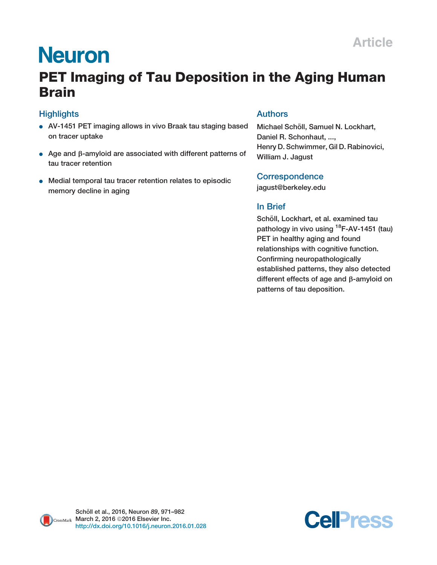# **Neuron**

# PET Imaging of Tau Deposition in the Aging Human Brain

# **Highlights**

- AV-1451 PET imaging allows in vivo Braak tau staging based on tracer uptake
- Age and  $\beta$ -amyloid are associated with different patterns of tau tracer retention
- Medial temporal tau tracer retention relates to episodic memory decline in aging

## Authors

Michael Schöll, Samuel N. Lockhart, Daniel R. Schonhaut, ..., Henry D. Schwimmer, Gil D. Rabinovici, William J. Jagust

### **Correspondence**

jagust@berkeley.edu

### In Brief

Schöll, Lockhart, et al. examined tau pathology in vivo using  $18F-AV-1451$  (tau) PET in healthy aging and found relationships with cognitive function. Confirming neuropathologically established patterns, they also detected different effects of age and  $\beta$ -amyloid on patterns of tau deposition.

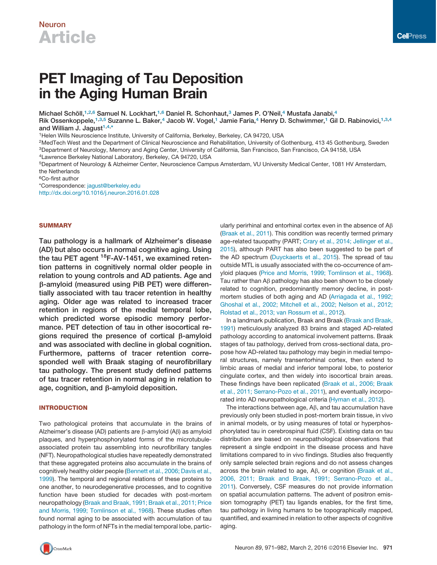# PET Imaging of Tau Deposition in the Aging Human Brain

Michael Schöll,<sup>1,2,6</sup> Samuel N. Lockhart,<sup>1,6</sup> Daniel R. Schonhaut,<sup>3</sup> James P. O'Neil,<sup>4</sup> Mustafa Janabi,<sup>4</sup>

Rik Ossenkoppele,<sup>1,3,5</sup> Suzanne L. Baker,<sup>4</sup> Jacob W. Vogel,<sup>1</sup> Jamie Faria,<sup>4</sup> Henry D. Schwimmer,<sup>1</sup> Gil D. Rabinovici,<sup>1,3,4</sup> and William J. Jagust<sup>1,4,\*</sup>

1Helen Wills Neuroscience Institute, University of California, Berkeley, Berkeley, CA 94720, USA

2MedTech West and the Department of Clinical Neuroscience and Rehabilitation, University of Gothenburg, 413 45 Gothenburg, Sweden 3Department of Neurology, Memory and Aging Center, University of California, San Francisco, San Francisco, CA 94158, USA 4Lawrence Berkeley National Laboratory, Berkeley, CA 94720, USA

5Department of Neurology & Alzheimer Center, Neuroscience Campus Amsterdam, VU University Medical Center, 1081 HV Amsterdam, the Netherlands

6Co-first author

\*Correspondence: jagust@berkeley.edu

http://dx.doi.org/10.1016/j.neuron.2016.01.028

#### **SUMMARY**

Tau pathology is a hallmark of Alzheimer's disease (AD) but also occurs in normal cognitive aging. Using the tau PET agent  $18$ F-AV-1451, we examined retention patterns in cognitively normal older people in relation to young controls and AD patients. Age and b-amyloid (measured using PiB PET) were differentially associated with tau tracer retention in healthy aging. Older age was related to increased tracer retention in regions of the medial temporal lobe, which predicted worse episodic memory performance. PET detection of tau in other isocortical regions required the presence of cortical  $\beta$ -amyloid and was associated with decline in global cognition. Furthermore, patterns of tracer retention corresponded well with Braak staging of neurofibrillary tau pathology. The present study defined patterns of tau tracer retention in normal aging in relation to age, cognition, and  $\beta$ -amyloid deposition.

#### INTRODUCTION

Two pathological proteins that accumulate in the brains of Alzheimer's disease (AD) patients are  $\beta$ -amyloid (A $\beta$ ) as amyloid plaques, and hyperphosphorylated forms of the microtubuleassociated protein tau assembling into neurofibrillary tangles (NFT). Neuropathological studies have repeatedly demonstrated that these aggregated proteins also accumulate in the brains of cognitively healthy older people (Bennett et al., 2006; Davis et al., 1999). The temporal and regional relations of these proteins to one another, to neurodegenerative processes, and to cognitive function have been studied for decades with post-mortem neuropathology (Braak and Braak, 1991; Braak et al., 2011; Price and Morris, 1999; Tomlinson et al., 1968). These studies often found normal aging to be associated with accumulation of tau pathology in the form of NFTs in the medial temporal lobe, particularly perirhinal and entorhinal cortex even in the absence of  $A\beta$ (Braak et al., 2011). This condition was recently termed primary age-related tauopathy (PART; Crary et al., 2014; Jellinger et al., 2015), although PART has also been suggested to be part of the AD spectrum (Duyckaerts et al., 2015). The spread of tau outside MTL is usually associated with the co-occurrence of amyloid plaques (Price and Morris, 1999; Tomlinson et al., 1968). Tau rather than  $\mathsf{A}\beta$  pathology has also been shown to be closely related to cognition, predominantly memory decline, in postmortem studies of both aging and AD (Arriagada et al., 1992; Ghoshal et al., 2002; Mitchell et al., 2002; Nelson et al., 2012; Rolstad et al., 2013; van Rossum et al., 2012).

In a landmark publication, Braak and Braak (Braak and Braak, 1991) meticulously analyzed 83 brains and staged AD-related pathology according to anatomical involvement patterns. Braak stages of tau pathology, derived from cross-sectional data, propose how AD-related tau pathology may begin in medial temporal structures, namely transentorhinal cortex, then extend to limbic areas of medial and inferior temporal lobe, to posterior cingulate cortex, and then widely into isocortical brain areas. These findings have been replicated (Braak et al., 2006; Braak et al., 2011; Serrano-Pozo et al., 2011), and eventually incorporated into AD neuropathological criteria (Hyman et al., 2012).

The interactions between age,  $A\beta$ , and tau accumulation have previously only been studied in post-mortem brain tissue, in vivo in animal models, or by using measures of total or hyperphosphorylated tau in cerebrospinal fluid (CSF). Existing data on tau distribution are based on neuropathological observations that represent a single endpoint in the disease process and have limitations compared to in vivo findings. Studies also frequently only sample selected brain regions and do not assess changes across the brain related to age, A<sub>B</sub>, or cognition (Braak et al., 2006, 2011; Braak and Braak, 1991; Serrano-Pozo et al., 2011). Conversely, CSF measures do not provide information on spatial accumulation patterns. The advent of positron emission tomography (PET) tau ligands enables, for the first time, tau pathology in living humans to be topographically mapped, quantified, and examined in relation to other aspects of cognitive aging.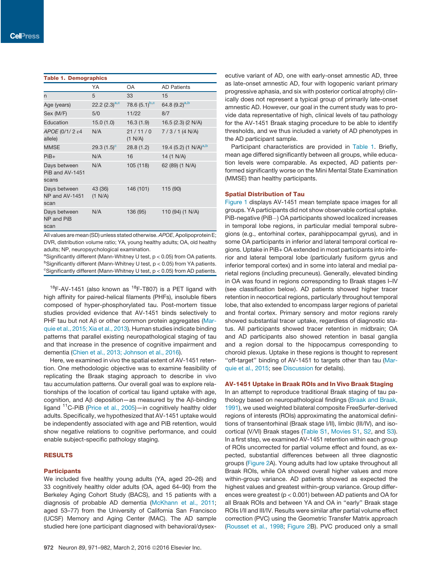| <b>Table 1. Demographics</b>             |                      |                    |                                   |  |  |  |
|------------------------------------------|----------------------|--------------------|-----------------------------------|--|--|--|
|                                          | YA                   | OA                 | <b>AD Patients</b>                |  |  |  |
| n                                        | 5                    | 33                 | 15                                |  |  |  |
| Age (years)                              | 22.2 $(2.3)^{a,c}$   | 78.6 $(5.1)^{b,c}$ | 64.8 $(9.2)^{a,b}$                |  |  |  |
| Sex (M/F)                                | 5/0                  | 11/22              | 8/7                               |  |  |  |
| Education                                | 15.0(1.0)            | 16.3(1.9)          | 16.5 (2.3) (2 N/A)                |  |  |  |
| APOE (0/1/2 ε4<br>allele)                | N/A                  | 21/11/0<br>(1 N/A) | $7/3/1$ (4 N/A)                   |  |  |  |
| <b>MMSE</b>                              | 29.3 $(1.5)^{\circ}$ | 28.8(1.2)          | 19.4 (5.2) (1 N/A) <sup>a,b</sup> |  |  |  |
| $PiB+$                                   | N/A                  | 16                 | 14 (1 N/A)                        |  |  |  |
| Days between<br>PiB and AV-1451<br>scans | N/A                  | 105 (118)          | 62 (89) (1 N/A)                   |  |  |  |
| Days between<br>NP and AV-1451<br>scan   | 43 (36)<br>(1 N/A)   | 146 (101)          | 115 (90)                          |  |  |  |
| Days between<br>NP and PiB<br>scan       | N/A                  | 136 (95)           | 110 (94) (1 N/A)                  |  |  |  |

All values are mean (SD) unless stated otherwise.*APOE*, Apolipoprotein E; DVR, distribution volume ratio; YA, young healthy adults; OA, old healthy adults; NP, neuropsychological examination.

<sup>a</sup>Significantly different (Mann-Whitney U test, p < 0.05) from OA patients. <sup>b</sup>Significantly different (Mann-Whitney U test, p < 0.05) from YA patients. <sup>c</sup>Significantly different (Mann-Whitney U test,  $p < 0.05$ ) from AD patients.

 $18$ F-AV-1451 (also known as  $18$ F-T807) is a PET ligand with high affinity for paired-helical filaments (PHFs), insoluble fibers composed of hyper-phosphorylated tau. Post-mortem tissue studies provided evidence that AV-1451 binds selectively to PHF tau but not  $A\beta$  or other common protein aggregates (Marquie et al., 2015; Xia et al., 2013). Human studies indicate binding patterns that parallel existing neuropathological staging of tau and that increase in the presence of cognitive impairment and dementia (Chien et al., 2013; Johnson et al., 2016).

Here, we examined in vivo the spatial extent of AV-1451 retention. One methodologic objective was to examine feasibility of replicating the Braak staging approach to describe in vivo tau accumulation patterns. Our overall goal was to explore relationships of the location of cortical tau ligand uptake with age, cognition, and A $\beta$  deposition—as measured by the A $\beta$ -binding ligand <sup>11</sup>C-PiB (Price et al., 2005)—in cognitively healthy older adults. Specifically, we hypothesized that AV-1451 uptake would be independently associated with age and PiB retention, would show negative relations to cognitive performance, and could enable subject-specific pathology staging.

#### RESULTS

#### **Participants**

We included five healthy young adults (YA, aged 20–26) and 33 cognitively healthy older adults (OA, aged 64–90) from the Berkeley Aging Cohort Study (BACS), and 15 patients with a diagnosis of probable AD dementia (McKhann et al., 2011; aged 53–77) from the University of California San Francisco (UCSF) Memory and Aging Center (MAC). The AD sample studied here (one participant diagnosed with behavioral/dysex-

ecutive variant of AD, one with early-onset amnestic AD, three as late-onset amnestic AD, four with logopenic variant primary progressive aphasia, and six with posterior cortical atrophy) clinically does not represent a typical group of primarily late-onset amnestic AD. However, our goal in the current study was to provide data representative of high, clinical levels of tau pathology for the AV-1451 Braak staging procedure to be able to identify thresholds, and we thus included a variety of AD phenotypes in the AD participant sample.

Participant characteristics are provided in Table 1. Briefly, mean age differed significantly between all groups, while education levels were comparable. As expected, AD patients performed significantly worse on the Mini Mental State Examination (MMSE) than healthy participants.

#### Spatial Distribution of Tau

Figure 1 displays AV-1451 mean template space images for all groups. YA participants did not show observable cortical uptake. PiB-negative (PiB-) OA participants showed localized increases in temporal lobe regions, in particular medial temporal subregions (e.g., entorhinal cortex, parahippocampal gyrus), and in some OA participants in inferior and lateral temporal cortical regions. Uptake in PiB+ OA extended in most participants into inferior and lateral temporal lobe (particularly fusiform gyrus and inferior temporal cortex) and in some into lateral and medial parietal regions (including precuneus). Generally, elevated binding in OA was found in regions corresponding to Braak stages I–IV (see classification below). AD patients showed higher tracer retention in neocortical regions, particularly throughout temporal lobe, that also extended to encompass larger regions of parietal and frontal cortex. Primary sensory and motor regions rarely showed substantial tracer uptake, regardless of diagnostic status. All participants showed tracer retention in midbrain; OA and AD participants also showed retention in basal ganglia and a region dorsal to the hippocampus corresponding to choroid plexus. Uptake in these regions is thought to represent "off-target" binding of AV-1451 to targets other than tau (Marquie et al., 2015; see Discussion for details).

#### AV-1451 Uptake in Braak ROIs and In Vivo Braak Staging

In an attempt to reproduce traditional Braak staging of tau pathology based on neuropathological findings (Braak and Braak, 1991), we used weighted bilateral composite FreeSurfer-derived regions of interests (ROIs) approximating the anatomical definitions of transentorhinal (Braak stage I/II), limbic (III/IV), and isocortical (V/VI) Braak stages (Table S1, Movies S1, S2, and S3). In a first step, we examined AV-1451 retention within each group of ROIs uncorrected for partial volume effect and found, as expected, substantial differences between all three diagnostic groups (Figure 2A). Young adults had low uptake throughout all Braak ROIs, while OA showed overall higher values and more within-group variance. AD patients showed as expected the highest values and greatest within-group variance. Group differences were greatest (p < 0.001) between AD patients and OA for all Braak ROIs and between YA and OA in ''early'' Braak stage ROIs I/II and III/IV. Results were similar after partial volume effect correction (PVC) using the Geometric Transfer Matrix approach (Rousset et al., 1998; Figure 2B). PVC produced only a small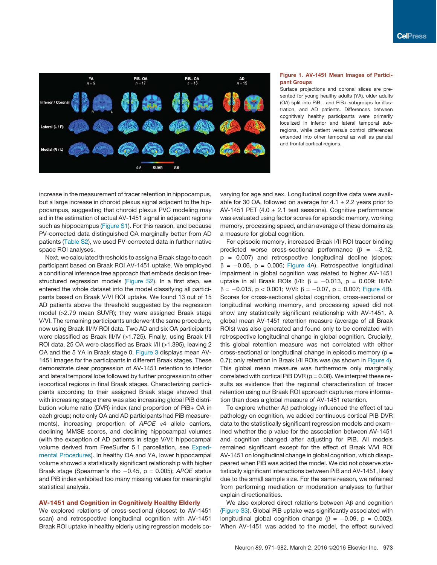

#### Figure 1. AV-1451 Mean Images of Participant Groups

Surface projections and coronal slices are presented for young healthy adults (YA), older adults (OA) split into PiB- and PiB+ subgroups for illustration, and AD patients. Differences between cognitively healthy participants were primarily localized in inferior and lateral temporal subregions, while patient versus control differences extended into other temporal as well as parietal and frontal cortical regions.

increase in the measurement of tracer retention in hippocampus, but a large increase in choroid plexus signal adjacent to the hippocampus, suggesting that choroid plexus PVC modeling may aid in the estimation of actual AV-1451 signal in adjacent regions such as hippocampus (Figure S1). For this reason, and because PV-corrected data distinguished OA marginally better from AD patients (Table S2), we used PV-corrected data in further native space ROI analyses.

Next, we calculated thresholds to assign a Braak stage to each participant based on Braak ROI AV-1451 uptake. We employed a conditional inference tree approach that embeds decision treestructured regression models (Figure S2). In a first step, we entered the whole dataset into the model classifying all participants based on Braak V/VI ROI uptake. We found 13 out of 15 AD patients above the threshold suggested by the regression model (>2.79 mean SUVR); they were assigned Braak stage V/VI. The remaining participants underwent the same procedure, now using Braak III/IV ROI data. Two AD and six OA participants were classified as Braak III/IV (>1.725). Finally, using Braak I/II ROI data, 25 OA were classified as Braak I/II (>1.395), leaving 2 OA and the 5 YA in Braak stage 0. Figure 3 displays mean AV-1451 images for the participants in different Braak stages. These demonstrate clear progression of AV-1451 retention to inferior and lateral temporal lobe followed by further progression to other isocortical regions in final Braak stages. Characterizing participants according to their assigned Braak stage showed that with increasing stage there was also increasing global PiB distribution volume ratio (DVR) index (and proportion of PiB+ OA in each group; note only OA and AD participants had PiB measurements), increasing proportion of *APOE* ε4 allele carriers, declining MMSE scores, and declining hippocampal volumes (with the exception of AD patients in stage V/VI; hippocampal volume derived from FreeSurfer 5.1 parcellation, see Experimental Procedures). In healthy OA and YA, lower hippocampal volume showed a statistically significant relationship with higher Braak stage (Spearman's rho -0.45, p = 0.005); *APOE* status and PiB index exhibited too many missing values for meaningful statistical analysis.

#### AV-1451 and Cognition in Cognitively Healthy Elderly

We explored relations of cross-sectional (closest to AV-1451 scan) and retrospective longitudinal cognition with AV-1451 Braak ROI uptake in healthy elderly using regression models covarying for age and sex. Longitudinal cognitive data were available for 30 OA, followed on average for  $4.1 \pm 2.2$  years prior to AV-1451 PET (4.0  $\pm$  2.1 test sessions). Cognitive performance was evaluated using factor scores for episodic memory, working memory, processing speed, and an average of these domains as a measure for global cognition.

For episodic memory, increased Braak I/II ROI tracer binding predicted worse cross-sectional performance ( $\beta = -3.12$ ,  $p = 0.007$ ) and retrospective longitudinal decline (slopes;  $\beta$  =  $-0.06$ , p = 0.006; Figure 4A). Retrospective longitudinal impairment in global cognition was related to higher AV-1451 uptake in all Braak ROIs (I/II: β =  $-0.013$ , p = 0.009; III/IV:  $\beta = -0.015$ ,  $p < 0.001$ ; V/VI:  $\beta = -0.07$ ,  $p = 0.007$ ; Figure 4B). Scores for cross-sectional global cognition, cross-sectional or longitudinal working memory, and processing speed did not show any statistically significant relationship with AV-1451. A global mean AV-1451 retention measure (average of all Braak ROIs) was also generated and found only to be correlated with retrospective longitudinal change in global cognition. Crucially, this global retention measure was not correlated with either cross-sectional or longitudinal change in episodic memory (p = 0.7); only retention in Braak I/II ROIs was (as shown in Figure 4). This global mean measure was furthermore only marginally correlated with cortical PiB DVR ( $p = 0.08$ ). We interpret these results as evidence that the regional characterization of tracer retention using our Braak ROI approach captures more information than does a global measure of AV-1451 retention.

To explore whether  $A\beta$  pathology influenced the effect of tau pathology on cognition, we added continuous cortical PiB DVR data to the statistically significant regression models and examined whether the p value for the association between AV-1451 and cognition changed after adjusting for PiB. All models remained significant except for the effect of Braak V/VI ROI AV-1451 on longitudinal change in global cognition, which disappeared when PiB was added the model. We did not observe statistically significant interactions between PiB and AV-1451, likely due to the small sample size. For the same reason, we refrained from performing mediation or moderation analyses to further explain directionalities.

We also explored direct relations between  $\mathsf{A}\beta$  and cognition (Figure S3). Global PiB uptake was significantly associated with longitudinal global cognition change ( $\beta = -0.09$ ,  $p = 0.002$ ). When AV-1451 was added to the model, the effect survived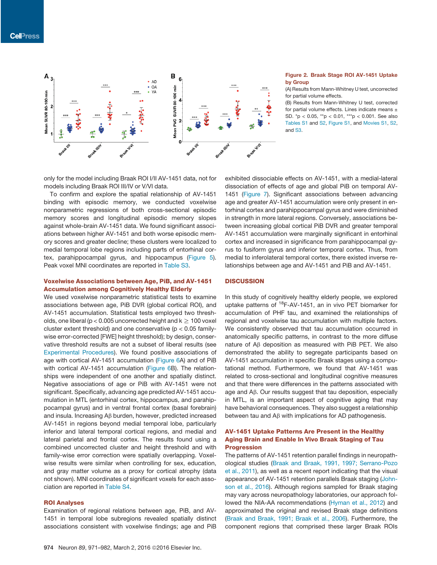

#### Figure 2. Braak Stage ROI AV-1451 Uptake by Group

(A) Results from Mann-Whitney U test, uncorrected for partial volume effects.

(B) Results from Mann-Whitney U test, corrected for partial volume effects. Lines indicate means  $\pm$ SD. \*p < 0.05, \*\*p < 0.01, \*\*\*p < 0.001. See also Tables S1 and S2, Figure S1, and Movies S1, S2, and S3.

only for the model including Braak ROI I/II AV-1451 data, not for models including Braak ROI III/IV or V/VI data.

To confirm and explore the spatial relationship of AV-1451 binding with episodic memory, we conducted voxelwise nonparametric regressions of both cross-sectional episodic memory scores and longitudinal episodic memory slopes against whole-brain AV-1451 data. We found significant associations between higher AV-1451 and both worse episodic memory scores and greater decline; these clusters were localized to medial temporal lobe regions including parts of entorhinal cortex, parahippocampal gyrus, and hippocampus (Figure 5). Peak voxel MNI coordinates are reported in Table S3.

#### Voxelwise Associations between Age, PiB, and AV-1451 Accumulation among Cognitively Healthy Elderly

We used voxelwise nonparametric statistical tests to examine associations between age, PiB DVR (global cortical ROI), and AV-1451 accumulation. Statistical tests employed two thresholds, one liberal ( $p < 0.005$  uncorrected height and  $k \ge 100$  voxel cluster extent threshold) and one conservative ( $p < 0.05$  familywise error-corrected [FWE] height threshold); by design, conservative threshold results are not a subset of liberal results (see Experimental Procedures). We found positive associations of age with cortical AV-1451 accumulation (Figure 6A) and of PiB with cortical AV-1451 accumulation (Figure 6B). The relationships were independent of one another and spatially distinct. Negative associations of age or PiB with AV-1451 were not significant. Specifically, advancing age predicted AV-1451 accumulation in MTL (entorhinal cortex, hippocampus, and parahippocampal gyrus) and in ventral frontal cortex (basal forebrain) and insula. Increasing  $A\beta$  burden, however, predicted increased AV-1451 in regions beyond medial temporal lobe, particularly inferior and lateral temporal cortical regions, and medial and lateral parietal and frontal cortex. The results found using a combined uncorrected cluster and height threshold and with family-wise error correction were spatially overlapping. Voxelwise results were similar when controlling for sex, education, and gray matter volume as a proxy for cortical atrophy (data not shown). MNI coordinates of significant voxels for each association are reported in Table S4.

#### ROI Analyses

Examination of regional relations between age, PiB, and AV-1451 in temporal lobe subregions revealed spatially distinct associations consistent with voxelwise findings; age and PiB exhibited dissociable effects on AV-1451, with a medial-lateral dissociation of effects of age and global PiB on temporal AV-1451 (Figure 7). Significant associations between advancing age and greater AV-1451 accumulation were only present in entorhinal cortex and parahippocampal gyrus and were diminished in strength in more lateral regions. Conversely, associations between increasing global cortical PiB DVR and greater temporal AV-1451 accumulation were marginally significant in entorhinal cortex and increased in significance from parahippocampal gyrus to fusiform gyrus and inferior temporal cortex. Thus, from medial to inferolateral temporal cortex, there existed inverse relationships between age and AV-1451 and PiB and AV-1451.

#### **DISCUSSION**

In this study of cognitively healthy elderly people, we explored uptake patterns of <sup>18</sup>F-AV-1451, an in vivo PET biomarker for accumulation of PHF tau, and examined the relationships of regional and voxelwise tau accumulation with multiple factors. We consistently observed that tau accumulation occurred in anatomically specific patterns, in contrast to the more diffuse nature of  $A\beta$  deposition as measured with PiB PET. We also demonstrated the ability to segregate participants based on AV-1451 accumulation in specific Braak stages using a computational method. Furthermore, we found that AV-1451 was related to cross-sectional and longitudinal cognitive measures and that there were differences in the patterns associated with age and A $\beta$ . Our results suggest that tau deposition, especially in MTL, is an important aspect of cognitive aging that may have behavioral consequences. They also suggest a relationship between tau and  $A\beta$  with implications for AD pathogenesis.

#### AV-1451 Uptake Patterns Are Present in the Healthy Aging Brain and Enable In Vivo Braak Staging of Tau Progression

The patterns of AV-1451 retention parallel findings in neuropathological studies (Braak and Braak, 1991, 1997; Serrano-Pozo et al., 2011), as well as a recent report indicating that the visual appearance of AV-1451 retention parallels Braak staging (Johnson et al., 2016). Although regions sampled for Braak staging may vary across neuropathology laboratories, our approach followed the NIA-AA recommendations (Hyman et al., 2012) and approximated the original and revised Braak stage definitions (Braak and Braak, 1991; Braak et al., 2006). Furthermore, the component regions that comprised these larger Braak ROIs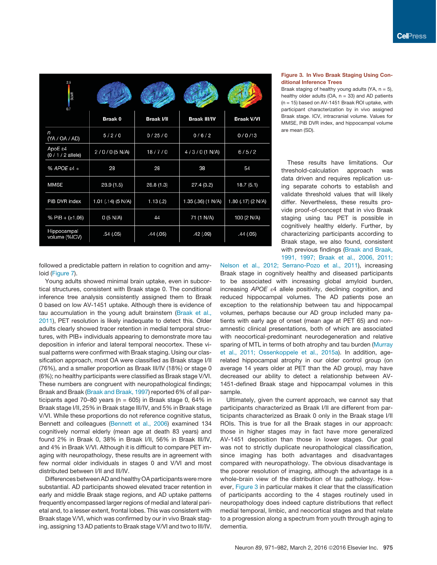| 2.5<br><b>SUVR</b><br>0.7        |                    |                   |                     |                    |
|----------------------------------|--------------------|-------------------|---------------------|--------------------|
|                                  | Braak 0            | <b>Braak I/II</b> | <b>Braak III/IV</b> | <b>Braak V/VI</b>  |
| $\overline{r}$<br>(YA / OA / AD) | 5/2/0              | 0/25/0            | 0/6/2               | 0/0/13             |
| ApoE ε4<br>$(0/1/2$ allele)      | $2/0/0$ (5 N/A)    | 18/7/0            | $4/3/0$ (1 N/A)     | 6/5/2              |
| % APOE ε4 +                      | 28                 | 28                | 38                  | 54                 |
| <b>MMSE</b>                      | 28.9(1.5)          | 28.8 (1.3)        | 27.4 (3.2)          | 18.7(5.1)          |
| PiB DVR index                    | 1.01 (.14) (5 N/A) | 1.13(.2)          | 1.35 (.36) (1 N/A)  | 1.80 (.17) (2 N/A) |
| % PiB + $(≥1.06)$                | $0$ (5 N/A)        | 44                | 71 (1 N/A)          | 100 (2 N/A)        |
| Hippocampal<br>volume (%ICV)     | .54(.05)           | .44 (.05)         | .42 (.09)           | .44 (.05)          |

followed a predictable pattern in relation to cognition and amyloid (Figure 7).

Young adults showed minimal brain uptake, even in subcortical structures, consistent with Braak stage 0. The conditional inference tree analysis consistently assigned them to Braak 0 based on low AV-1451 uptake. Although there is evidence of tau accumulation in the young adult brainstem (Braak et al., 2011), PET resolution is likely inadequate to detect this. Older adults clearly showed tracer retention in medial temporal structures, with PIB+ individuals appearing to demonstrate more tau deposition in inferior and lateral temporal neocortex. These visual patterns were confirmed with Braak staging. Using our classification approach, most OA were classified as Braak stage I/II (76%), and a smaller proportion as Braak III/IV (18%) or stage 0 (6%); no healthy participants were classified as Braak stage V/VI. These numbers are congruent with neuropathological findings; Braak and Braak (Braak and Braak, 1997) reported 6% of all participants aged 70–80 years ( $n = 605$ ) in Braak stage 0, 64% in Braak stage I/II, 25% in Braak stage III/IV, and 5% in Braak stage V/VI. While these proportions do not reference cognitive status, Bennett and colleagues (Bennett et al., 2006) examined 134 cognitively normal elderly (mean age at death 83 years) and found 2% in Braak 0, 38% in Braak I/II, 56% in Braak III/IV, and 4% in Braak V/VI. Although it is difficult to compare PET imaging with neuropathology, these results are in agreement with few normal older individuals in stages 0 and V/VI and most distributed between I/II and III/IV.

Differences between AD and healthy OA participants were more substantial. AD participants showed elevated tracer retention in early and middle Braak stage regions, and AD uptake patterns frequently encompassed larger regions of medial and lateral parietal and, to a lesser extent, frontal lobes. This was consistent with Braak stage V/VI, which was confirmed by our in vivo Braak staging, assigning 13 AD patients to Braak stage V/VI and two to III/IV.

#### Figure 3. In Vivo Braak Staging Using Conditional Inference Trees

Braak staging of healthy young adults  $(YA, n = 5)$ . healthy older adults (OA,  $n = 33$ ) and AD patients (n = 15) based on AV-1451 Braak ROI uptake, with participant characterization by in vivo assigned Braak stage. ICV, intracranial volume. Values for MMSE, PiB DVR index, and hippocampal volume are mean (SD).

These results have limitations. Our threshold-calculation approach was data driven and requires replication using separate cohorts to establish and validate threshold values that will likely differ. Nevertheless, these results provide proof-of-concept that in vivo Braak staging using tau PET is possible in cognitively healthy elderly. Further, by characterizing participants according to Braak stage, we also found, consistent with previous findings (Braak and Braak, 1991, 1997; Braak et al., 2006, 2011;

Nelson et al., 2012; Serrano-Pozo et al., 2011), increasing Braak stage in cognitively healthy and diseased participants to be associated with increasing global amyloid burden, increasing *APOE* ε4 allele positivity, declining cognition, and reduced hippocampal volumes. The AD patients pose an exception to the relationship between tau and hippocampal volumes, perhaps because our AD group included many patients with early age of onset (mean age at PET 65) and nonamnestic clinical presentations, both of which are associated with neocortical-predominant neurodegeneration and relative sparing of MTL in terms of both atrophy and tau burden (Murray et al., 2011; Ossenkoppele et al., 2015a). In addition, agerelated hippocampal atrophy in our older control group (on average 14 years older at PET than the AD group), may have decreased our ability to detect a relationship between AV-1451-defined Braak stage and hippocampal volumes in this sample.

Ultimately, given the current approach, we cannot say that participants characterized as Braak I/II are different from participants characterized as Braak 0 only in the Braak stage I/II ROIs. This is true for all the Braak stages in our approach: those in higher stages may in fact have more generalized AV-1451 deposition than those in lower stages. Our goal was not to strictly duplicate neuropathological classification, since imaging has both advantages and disadvantages compared with neuropathology. The obvious disadvantage is the poorer resolution of imaging, although the advantage is a whole-brain view of the distribution of tau pathology. However, Figure 3 in particular makes it clear that the classification of participants according to the 4 stages routinely used in neuropathology does indeed capture distributions that reflect medial temporal, limbic, and neocortical stages and that relate to a progression along a spectrum from youth through aging to dementia.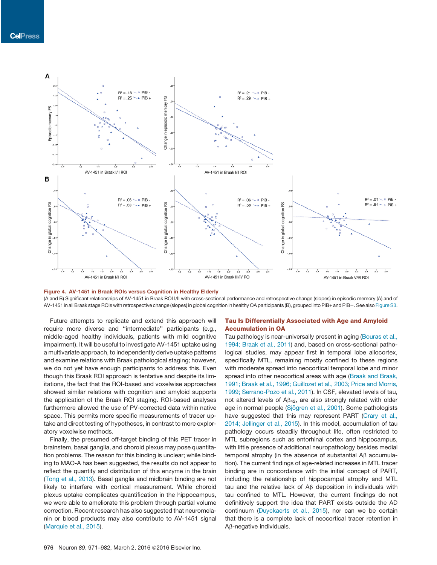

#### Figure 4. AV-1451 in Braak ROIs versus Cognition in Healthy Elderly

(A and B) Significant relationships of AV-1451 in Braak ROI I/II with cross-sectional performance and retrospective change (slopes) in episodic memory (A) and of AV-1451 in all Braak stage ROIs with retrospective change (slopes) in global cognition in healthy OA participants (B), grouped into PiB+ and PiB-. See also Figure S3.

Future attempts to replicate and extend this approach will require more diverse and ''intermediate'' participants (e.g., middle-aged healthy individuals, patients with mild cognitive impairment). It will be useful to investigate AV-1451 uptake using a multivariate approach, to independently derive uptake patterns and examine relations with Braak pathological staging; however, we do not yet have enough participants to address this. Even though this Braak ROI approach is tentative and despite its limitations, the fact that the ROI-based and voxelwise approaches showed similar relations with cognition and amyloid supports the application of the Braak ROI staging. ROI-based analyses furthermore allowed the use of PV-corrected data within native space. This permits more specific measurements of tracer uptake and direct testing of hypotheses, in contrast to more exploratory voxelwise methods.

Finally, the presumed off-target binding of this PET tracer in brainstem, basal ganglia, and choroid plexus may pose quantitation problems. The reason for this binding is unclear; while binding to MAO-A has been suggested, the results do not appear to reflect the quantity and distribution of this enzyme in the brain (Tong et al., 2013). Basal ganglia and midbrain binding are not likely to interfere with cortical measurement. While choroid plexus uptake complicates quantification in the hippocampus, we were able to ameliorate this problem through partial volume correction. Recent research has also suggested that neuromelanin or blood products may also contribute to AV-1451 signal (Marquie et al., 2015).

#### Tau Is Differentially Associated with Age and Amyloid Accumulation in OA

Tau pathology is near-universally present in aging (Bouras et al., 1994; Braak et al., 2011) and, based on cross-sectional pathological studies, may appear first in temporal lobe allocortex, specifically MTL, remaining mostly confined to these regions with moderate spread into neocortical temporal lobe and minor spread into other neocortical areas with age (Braak and Braak, 1991; Braak et al., 1996; Guillozet et al., 2003; Price and Morris, 1999; Serrano-Pozo et al., 2011). In CSF, elevated levels of tau, not altered levels of  $A\beta_{42}$ , are also strongly related with older age in normal people (Sjögren et al., 2001). Some pathologists have suggested that this may represent PART (Crary et al., 2014; Jellinger et al., 2015). In this model, accumulation of tau pathology occurs steadily throughout life, often restricted to MTL subregions such as entorhinal cortex and hippocampus, with little presence of additional neuropathology besides medial temporal atrophy (in the absence of substantial  $A\beta$  accumulation). The current findings of age-related increases in MTL tracer binding are in concordance with the initial concept of PART, including the relationship of hippocampal atrophy and MTL tau and the relative lack of  $A\beta$  deposition in individuals with tau confined to MTL. However, the current findings do not definitively support the idea that PART exists outside the AD continuum (Duyckaerts et al., 2015), nor can we be certain that there is a complete lack of neocortical tracer retention in  $A\beta$ -negative individuals.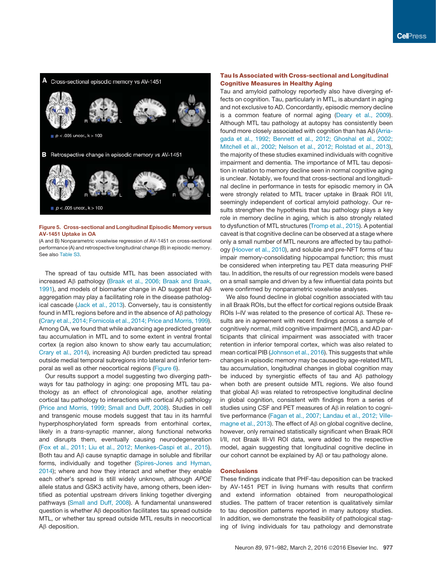

Figure 5. Cross-sectional and Longitudinal Episodic Memory versus AV-1451 Uptake in OA

(A and B) Nonparametric voxelwise regression of AV-1451 on cross-sectional performance (A) and retrospective longitudinal change (B) in episodic memory. See also Table S3.

The spread of tau outside MTL has been associated with increased Ab pathology (Braak et al., 2006; Braak and Braak, 1991), and models of biomarker change in AD suggest that  $A\beta$ aggregation may play a facilitating role in the disease pathological cascade (Jack et al., 2013). Conversely, tau is consistently found in MTL regions before and in the absence of  $A\beta$  pathology (Crary et al., 2014; Fornicola et al., 2014; Price and Morris, 1999). Among OA, we found that while advancing age predicted greater tau accumulation in MTL and to some extent in ventral frontal cortex (a region also known to show early tau accumulation; Crary et al., 2014), increasing  $\mathsf{A}\beta$  burden predicted tau spread outside medial temporal subregions into lateral and inferior temporal as well as other neocortical regions (Figure 6).

Our results support a model suggesting two diverging pathways for tau pathology in aging: one proposing MTL tau pathology as an effect of chronological age, another relating cortical tau pathology to interactions with cortical  $\mathsf{A}\beta$  pathology (Price and Morris, 1999; Small and Duff, 2008). Studies in cell and transgenic mouse models suggest that tau in its harmful hyperphosphorylated form spreads from entorhinal cortex, likely in a *trans*-synaptic manner, along functional networks and disrupts them, eventually causing neurodegeneration (Fox et al., 2011; Liu et al., 2012; Menkes-Caspi et al., 2015). Both tau and  $A\beta$  cause synaptic damage in soluble and fibrillar forms, individually and together (Spires-Jones and Hyman, 2014); where and how they interact and whether they enable each other's spread is still widely unknown, although *APOE* allele status and GSK3 activity have, among others, been identified as potential upstream drivers linking together diverging pathways (Small and Duff, 2008). A fundamental unanswered question is whether  $\mathsf{A}\beta$  deposition facilitates tau spread outside MTL, or whether tau spread outside MTL results in neocortical  $A\beta$  deposition.

#### Tau Is Associated with Cross-sectional and Longitudinal Cognitive Measures in Healthy Aging

Tau and amyloid pathology reportedly also have diverging effects on cognition. Tau, particularly in MTL, is abundant in aging and not exclusive to AD. Concordantly, episodic memory decline is a common feature of normal aging (Deary et al., 2009). Although MTL tau pathology at autopsy has consistently been found more closely associated with cognition than has  $\mathsf{AB}$  (Arriagada et al., 1992; Bennett et al., 2012; Ghoshal et al., 2002; Mitchell et al., 2002; Nelson et al., 2012; Rolstad et al., 2013), the majority of these studies examined individuals with cognitive impairment and dementia. The importance of MTL tau deposition in relation to memory decline seen in normal cognitive aging is unclear. Notably, we found that cross-sectional and longitudinal decline in performance in tests for episodic memory in OA were strongly related to MTL tracer uptake in Braak ROI I/II, seemingly independent of cortical amyloid pathology. Our results strengthen the hypothesis that tau pathology plays a key role in memory decline in aging, which is also strongly related to dysfunction of MTL structures (Tromp et al., 2015). A potential caveat is that cognitive decline can be observed at a stage where only a small number of MTL neurons are affected by tau pathology (Hoover et al., 2010), and soluble and pre-NFT forms of tau impair memory-consolidating hippocampal function; this must be considered when interpreting tau PET data measuring PHF tau. In addition, the results of our regression models were based on a small sample and driven by a few influential data points but were confirmed by nonparametric voxelwise analyses.

We also found decline in global cognition associated with tau in all Braak ROIs, but the effect for cortical regions outside Braak ROIs I–IV was related to the presence of cortical Aβ. These results are in agreement with recent findings across a sample of cognitively normal, mild cognitive impairment (MCI), and AD participants that clinical impairment was associated with tracer retention in inferior temporal cortex, which was also related to mean cortical PIB (Johnson et al., 2016). This suggests that while changes in episodic memory may be caused by age-related MTL tau accumulation, longitudinal changes in global cognition may be induced by synergistic effects of tau and  $\mathsf{A}\beta$  pathology when both are present outside MTL regions. We also found that global  $\mathsf{A}\beta$  was related to retrospective longitudinal decline in global cognition, consistent with findings from a series of studies using CSF and PET measures of  $A\beta$  in relation to cognitive performance (Fagan et al., 2007; Landau et al., 2012; Villemagne et al., 2013). The effect of  $\mathsf{A}\beta$  on global cognitive decline, however, only remained statistically significant when Braak ROI I/II, not Braak III-VI ROI data, were added to the respective model, again suggesting that longitudinal cognitive decline in our cohort cannot be explained by  $A\beta$  or tau pathology alone.

#### **Conclusions**

These findings indicate that PHF-tau deposition can be tracked by AV-1451 PET in living humans with results that confirm and extend information obtained from neuropathological studies. The pattern of tracer retention is qualitatively similar to tau deposition patterns reported in many autopsy studies. In addition, we demonstrate the feasibility of pathological staging of living individuals for tau pathology and demonstrate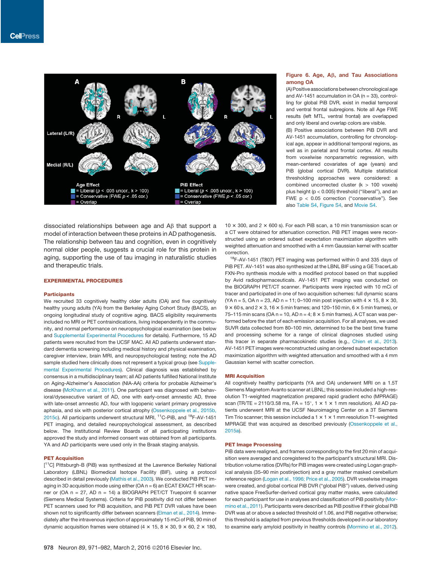

dissociated relationships between age and  $AB$  that support a model of interaction between these proteins in AD pathogenesis. The relationship between tau and cognition, even in cognitively normal older people, suggests a crucial role for this protein in aging, supporting the use of tau imaging in naturalistic studies and therapeutic trials.

#### EXPERIMENTAL PROCEDURES

#### **Participants**

We recruited 33 cognitively healthy older adults (OA) and five cognitively healthy young adults (YA) from the Berkeley Aging Cohort Study (BACS), an ongoing longitudinal study of cognitive aging. BACS eligibility requirements included no MRI or PET contraindications, living independently in the community, and normal performance on neuropsychological examination (see below and Supplemental Experimental Procedures for details). Furthermore, 15 AD patients were recruited from the UCSF MAC. All AD patients underwent standard dementia screening including medical history and physical examination, caregiver interview, brain MRI, and neuropsychological testing; note the AD sample studied here clinically does not represent a typical group (see Supplemental Experimental Procedures). Clinical diagnosis was established by consensus in a multidisciplinary team; all AD patients fulfilled National Institute on Aging-Alzheimer's Association (NIA-AA) criteria for probable Alzheimer's disease (McKhann et al., 2011). One participant was diagnosed with behavioral/dysexecutive variant of AD, one with early-onset amnestic AD, three with late-onset amnestic AD, four with logopenic variant primary progressive aphasia, and six with posterior cortical atrophy (Ossenkoppele et al., 2015b, 2015c). All participants underwent structural MRI, 11C-PiB, and 18F-AV-1451 PET imaging, and detailed neuropsychological assessment, as described below. The Institutional Review Boards of all participating institutions approved the study and informed consent was obtained from all participants. YA and AD participants were used only in the Braak staging analysis.

#### **PET Acquisition**

[<sup>11</sup>C] Pittsburgh-B (PiB) was synthesized at the Lawrence Berkeley National Laboratory (LBNL) Biomedical Isotope Facility (BIF), using a protocol described in detail previously (Mathis et al., 2003). We conducted PiB PET imaging in 3D acquisition mode using either (OA n = 6) an ECAT EXACT HR scanner or (OA n = 27, AD n = 14) a BIOGRAPH PET/CT Truepoint 6 scanner (Siemens Medical Systems). Criteria for PiB positivity did not differ between PET scanners used for PiB acquisition, and PiB PET DVR values have been shown not to significantly differ between scanners (Elman et al., 2014). Immediately after the intravenous injection of approximately 15 mCi of PiB, 90 min of dynamic acquisition frames were obtained (4  $\times$  15, 8  $\times$  30, 9  $\times$  60, 2  $\times$  180,

#### Figure 6. Age,  $A\beta$ , and Tau Associations among OA

(A)Positive associations between chronological age and AV-1451 accumulation in OA ( $n = 33$ ), controlling for global PiB DVR, exist in medial temporal and ventral frontal subregions. Note all Age FWE results (left MTL, ventral frontal) are overlapped and only liberal and overlap colors are visible.

(B) Positive associations between PiB DVR and AV-1451 accumulation, controlling for chronological age, appear in additional temporal regions, as well as in parietal and frontal cortex. All results from voxelwise nonparametric regression, with mean-centered covariates of age (years) and PiB (global cortical DVR). Multiple statistical thresholding approaches were considered: a combined uncorrected cluster (k > 100 voxels) plus height (p < 0.005) threshold (''liberal''), and an FWE  $p < 0.05$  correction ("conservative"). See also Table S4, Figure S4, and Movie S4.

10  $\times$  300, and 2  $\times$  600 s). For each PiB scan, a 10 min transmission scan or a CT were obtained for attenuation correction. PiB PET images were reconstructed using an ordered subset expectation maximization algorithm with weighted attenuation and smoothed with a 4 mm Gaussian kernel with scatter correction.

<sup>18</sup>F-AV-1451 (T807) PET imaging was performed within 0 and 335 days of PiB PET. AV-1451 was also synthesized at the LBNL BIF using a GE TracerLab FXN-Pro synthesis module with a modified protocol based on that supplied by Avid radiopharmaceuticals. AV-1451 PET imaging was conducted on the BIOGRAPH PET/CT scanner. Participants were injected with 10 mCi of tracer and participated in one of two acquisition schemes: full dynamic scans (YA n = 5, OA n = 23, AD n = 11; 0-100 min post injection with  $4 \times 15$ ,  $8 \times 30$ ,  $9 \times 60$  s, and  $2 \times 3$ , 16  $\times$  5 min frames; and 120–150 min, 6  $\times$  5 min frames), or 75–115 min scans (OA n = 10, AD n = 4; 8  $\times$  5 min frames). A CT scan was performed before the start of each emission acquisition. For all analyses, we used SUVR data collected from 80–100 min, determined to be the best time frame and processing scheme for a range of clinical diagnoses studied using this tracer in separate pharmacokinetic studies (e.g., Chien et al., 2013). AV-1451 PET images were reconstructed using an ordered subset expectation maximization algorithm with weighted attenuation and smoothed with a 4 mm Gaussian kernel with scatter correction.

#### MRI Acquisition

All cognitively healthy participants (YA and OA) underwent MRI on a 1.5T Siemens Magnetom Avanto scanner at LBNL; this session included a high-resolution T1-weighted magnetization prepared rapid gradient echo (MPRAGE) scan (TR/TE = 2110/3.58 ms,  $FA = 15^\circ$ , 1  $\times$  1  $\times$  1 mm resolution). All AD patients underwent MRI at the UCSF Neuroimaging Center on a 3T Siemens Tim Trio scanner; this session included a  $1 \times 1 \times 1$  mm resolution T1-weighted MPRAGE that was acquired as described previously (Ossenkoppele et al., 2015a).

#### PET Image Processing

PiB data were realigned, and frames corresponding to the first 20 min of acquisition were averaged and coregistered to the participant's structural MRI. Distribution volume ratios (DVRs) for PiB images were created using Logan graphical analysis (35–90 min postinjection) and a gray matter masked cerebellum reference region (Logan et al., 1996; Price et al., 2005). DVR voxelwise images were created, and global cortical PiB DVR (''global PiB'') values, derived using native space FreeSurfer-derived cortical gray matter masks, were calculated for each participant for use in analyses and classification of PiB positivity (Mormino et al., 2011). Participants were described as PiB positive if their global PiB DVR was at or above a selected threshold of 1.06, and PiB negative otherwise; this threshold is adapted from previous thresholds developed in our laboratory to examine early amyloid positivity in healthy controls (Mormino et al., 2012).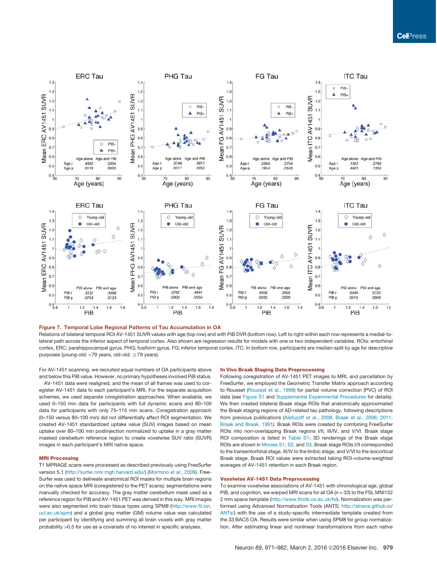

Figure 7. Temporal Lobe Regional Patterns of Tau Accumulation in OA

Relations of bilateral temporal ROI AV-1451 SUVR values with age (top row) and with PiB DVR (bottom row). Left to right within each row represents a medial-tolateral path across the inferior aspect of temporal cortex. Also shown are regression results for models with one or two independent variables. ROIs: entorhinal cortex, ERC; parahippocampal gyrus, PHG; fusiform gyrus, FG; inferior temporal cortex, ITC. In bottom row, participants are median-split by age for descriptive purposes (young-old: <79 years, old-old: ≥79 years).

For AV-1451 scanning, we recruited equal numbers of OA participants above and below this PiB value. However, no primary hypotheses involved PiB status.

AV-1451 data were realigned, and the mean of all frames was used to coregister AV-1451 data to each participant's MRI. For the separate acquisition schemes, we used separate coregistration approaches. When available, we used 0–150 min data for participants with full dynamic scans and 80–100 data for participants with only 75–115 min scans. Coregistration approach (0–150 versus 80–100 min) did not differentially affect ROI segmentation. We created AV-1451 standardized uptake value (SUV) images based on mean uptake over 80–100 min postinjection normalized to uptake in a gray matter masked cerebellum reference region to create voxelwise SUV ratio (SUVR) images in each participant's MRI native space.

#### MRI Processing

T1 MPRAGE scans were processed as described previously using FreeSurfer version 5.1 (http://surfer.nmr.mgh.harvard.edu/) (Mormino et al., 2009). Free-Surfer was used to delineate anatomical ROI masks for multiple brain regions on the native space MRI (coregistered to the PET scans); segmentations were manually checked for accuracy. The gray matter cerebellum mask used as a reference region for PiB and AV-1451 PET was derived in this way. MRI images were also segmented into brain tissue types using SPM8 (http://www.fil.ion. ucl.ac.uk/spm) and a global gray matter (GM) volume value was calculated per participant by identifying and summing all brain voxels with gray matter probability >0.5 for use as a covariate of no interest in specific analyses.

#### In Vivo Braak Staging Data Preprocessing

Following coregistration of AV-1451 PET images to MRI, and parcellation by FreeSurfer, we employed the Geometric Transfer Matrix approach according to Rousset (Rousset et al., 1998) for partial volume correction (PVC) of ROI data (see Figure S1 and Supplemental Experimental Procedures for details). We then created bilateral Braak stage ROIs that anatomically approximated the Braak staging regions of AD-related tau pathology, following descriptions from previous publications (Alafuzoff et al., 2008; Braak et al., 2006, 2011; Braak and Braak, 1991). Braak ROIs were created by combining FreeSurfer ROIs into non-overlapping Braak regions I/II, III/IV, and V/VI. Braak stage ROI composition is listed in Table S1; 3D renderings of the Braak stage ROIs are shown in Movies S1, S2, and S3. Braak stage ROIs I/II corresponded to the transentorhinal stage, III/IV to the limbic stage, and V/VI to the isocortical Braak stage. Braak ROI values were extracted taking ROI-volume-weighted averages of AV-1451 retention in each Braak region.

#### Voxelwise AV-1451 Data Preprocessing

To examine voxelwise associations of AV-1451 with chronological age, global PiB, and cognition, we warped MRI scans for all OA (n = 33) to the FSL MNI152 2 mm space template (http://www.fmrib.ox.ac.uk/fsl). Normalization was performed using Advanced Normalization Tools (ANTS; http://stnava.github.io/ ANTs/) with the use of a study-specific intermediate template created from the 33 BACS OA. Results were similar when using SPM8 for group normalization. After estimating linear and nonlinear transformations from each native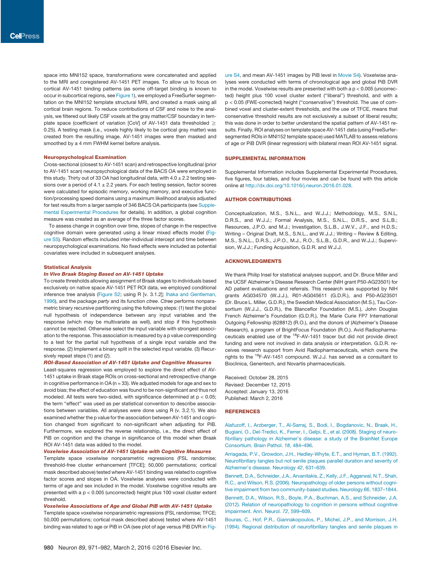space into MNI152 space, transformations were concatenated and applied to the MRI and coregistered AV-1451 PET images. To allow us to focus on cortical AV-1451 binding patterns (as some off-target binding is known to occur in subcortical regions, see Figure 1), we employed a FreeSurfer segmentation on the MNI152 template structural MRI, and created a mask using all cortical brain regions. To reduce contributions of CSF and noise to the analysis, we filtered out likely CSF voxels at the gray matter/CSF boundary in template space (coefficient of variation [CoV] of AV-1451 data thresholded  $\geq$ 0.25). A testing mask (i.e., voxels highly likely to be cortical gray matter) was created from the resulting image. AV-1451 images were then masked and smoothed by a 4 mm FWHM kernel before analysis.

#### Neuropsychological Examination

Cross-sectional (closest to AV-1451 scan) and retrospective longitudinal (prior to AV-1451 scan) neuropsychological data of the BACS OA were employed in this study. Thirty out of 33 OA had longitudinal data, with  $4.0 \pm 2.2$  testing sessions over a period of  $4.1 \pm 2.2$  years. For each testing session, factor scores were calculated for episodic memory, working memory, and executive function/processing speed domains using a maximum likelihood analysis adjusted for test results from a larger sample of 346 BACS OA participants (see Supplemental Experimental Procedures for details). In addition, a global cognition measure was created as an average of the three factor scores.

To assess change in cognition over time, slopes of change in the respective cognitive domain were generated using a linear mixed effects model (Figure S5). Random effects included inter-individual intercept and time between neuropsychological examinations. No fixed effects were included as potential covariates were included in subsequent analyses.

#### Statistical Analysis

#### In Vivo Braak Staging Based on AV-1451 Uptake

To create thresholds allowing assignment of Braak stages to individuals based exclusively on native space AV-1451 PET ROI data, we employed conditional inference tree analysis (Figure S2; using R [v. 3.1.2]; Ihaka and Gentleman, 1996), and the package *party* and its function *ctree*. *Ctree* performs nonparametric binary recursive partitioning using the following steps: (1) test the global null hypothesis of independence between any input variables and the response (which may be multivariate as well), and stop if this hypothesis cannot be rejected. Otherwise select the input variable with strongest association to the response. This association is measured by a p value corresponding to a test for the partial null hypothesis of a single input variable and the response. (2) Implement a binary split in the selected input variable. (3) Recursively repeat steps (1) and (2).

#### ROI-Based Association of AV-1451 Uptake and Cognitive Measures

Least-squares regression was employed to explore the direct effect of AV-1451 uptake in Braak stage ROIs on cross-sectional and retrospective change in cognitive performance in OA (n = 33). We adjusted models for age and sex to avoid bias; the effect of education was found to be non-significant and thus not modeled. All tests were two-sided, with significance determined at  $p < 0.05$ ; the term "effect" was used as per statistical convention to describe associations between variables. All analyses were done using R (v. 3.2.1). We also examined whether the p value for the association between AV-1451 and cognition changed from significant to non-significant when adjusting for PiB. Furthermore, we explored the reverse relationship, i.e., the direct effect of PiB on cognition and the change in significance of this model when Braak ROI AV-1451 data was added to the model.

#### Voxelwise Association of AV-1451 Uptake with Cognitive Measures

Template space voxelwise nonparametric regressions (FSL randomise; threshold-free cluster enhancement [TFCE]; 50,000 permutations; cortical mask described above) tested where AV-1451 binding was related to cognitive factor scores and slopes in OA. Voxelwise analyses were conducted with terms of age and sex included in the model. Voxelwise cognitive results are presented with a p < 0.005 (uncorrected) height plus 100 voxel cluster extent threshold.

#### Voxelwise Associations of Age and Global PiB with AV-1451 Uptake

Template space voxelwise nonparametric regressions (FSL randomise; TFCE; 50,000 permutations; cortical mask described above) tested where AV-1451 binding was related to age or PiB in OA (see plot of age versus PiB DVR in Figure S4, and mean AV-1451 images by PiB level in Movie S4). Voxelwise analyses were conducted with terms of chronological age and global PiB DVR in the model. Voxelwise results are presented with both a  $p < 0.005$  (uncorrected) height plus 100 voxel cluster extent (''liberal'') threshold, and with a p < 0.05 (FWE-corrected) height (''conservative'') threshold. The use of combined voxel and cluster-extent thresholds, and the use of TFCE, means that conservative threshold results are not exclusively a subset of liberal results; this was done in order to better understand the spatial pattern of AV-1451 results. Finally, ROI analyses on template space AV-1451 data (using FreeSurfersegmented ROIs in MNI152 template space) used MATLAB to assess relations of age or PiB DVR (linear regression) with bilateral mean ROI AV-1451 signal.

#### SUPPLEMENTAL INFORMATION

Supplemental Information includes Supplemental Experimental Procedures, five figures, four tables, and four movies and can be found with this article online at http://dx.doi.org/10.1016/j.neuron.2016.01.028.

#### AUTHOR CONTRIBUTIONS

Conceptualization, M.S., S.N.L., and W.J.J.; Methodology, M.S., S.N.L, D.R.S., and W.J.J.; Formal Analysis, M.S., S.N.L., D.R.S., and S.L.B.; Resources, J.P.O. and M.J.; Investigation, S.L.B., J.W.V., J.F., and H.D.S.; Writing – Original Draft, M.S., S.N.L., and W.J.J.; Writing – Review & Editing, M.S., S.N.L., D.R.S., J.P.O., M.J., R.O., S.L.B., G.D.R., and W.J.J.; Supervision, W.J.J.; Funding Acquisition, G.D.R. and W.J.J.

#### ACKNOWLEDGMENTS

We thank Philip Insel for statistical analyses support, and Dr. Bruce Miller and the UCSF Alzheimer's Disease Research Center (NIH grant P50-AG23501) for AD patient evaluations and referrals. This research was supported by NIH grants AG034570 (W.J.J.), R01-AG045611 (G.D.R.), and P50-AG23501 (Dr. Bruce L. Miller, G.D.R.), the Swedish Medical Association (M.S.), Tau Consortium (W.J.J., G.D.R.), the Blanceflor Foundation (M.S.), John Douglas French Alzheimer's Foundation (G.D.R.), the Marie Curie FP7 International Outgoing Fellowship (628812) (R.O.), and the donors of (Alzheimer's Disease Research), a program of BrightFocus Foundation (R.O.). Avid Radiopharmaceuticals enabled use of the 18F-AV-1451 tracer but did not provide direct funding and were not involved in data analysis or interpretation. G.D.R. receives research support from Avid Radiopharmaceuticals, which owns the rights to the 18F-AV-1451 compound. W.J.J. has served as a consultant to Bioclinica, Genentech, and Novartis pharmaceuticals.

Received: October 28, 2015 Revised: December 12, 2015 Accepted: January 13, 2016 Published: March 2, 2016

#### REFERENCES

Alafuzoff, I., Arzberger, T., Al-Sarraj, S., Bodi, I., Bogdanovic, N., Braak, H., Bugiani, O., Del-Tredici, K., Ferrer, I., Gelpi, E., et al. (2008). Staging of neurofibrillary pathology in Alzheimer's disease: a study of the BrainNet Europe Consortium. Brain Pathol. *18*, 484–496.

Arriagada, P.V., Growdon, J.H., Hedley-Whyte, E.T., and Hyman, B.T. (1992). Neurofibrillary tangles but not senile plaques parallel duration and severity of Alzheimer's disease. Neurology *42*, 631–639.

Bennett, D.A., Schneider, J.A., Arvanitakis, Z., Kelly, J.F., Aggarwal, N.T., Shah, R.C., and Wilson, R.S. (2006). Neuropathology of older persons without cognitive impairment from two community-based studies. Neurology *66*, 1837–1844.

Bennett, D.A., Wilson, R.S., Boyle, P.A., Buchman, A.S., and Schneider, J.A. (2012). Relation of neuropathology to cognition in persons without cognitive impairment. Ann. Neurol. *72*, 599–609.

Bouras, C., Hof, P.R., Giannakopoulos, P., Michel, J.P., and Morrison, J.H. (1994). Regional distribution of neurofibrillary tangles and senile plaques in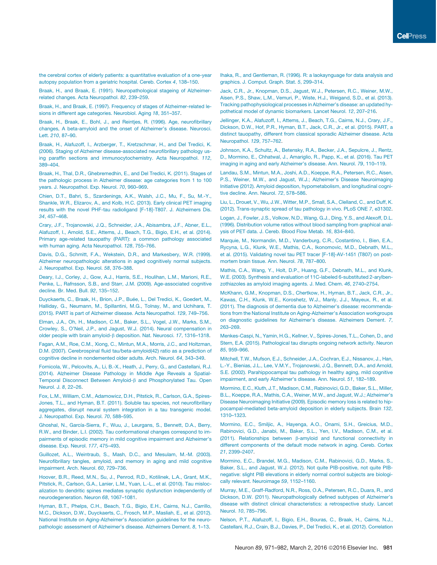the cerebral cortex of elderly patients: a quantitative evaluation of a one-year autopsy population from a geriatric hospital. Cereb. Cortex *4*, 138–150.

Braak, H., and Braak, E. (1991). Neuropathological stageing of Alzheimerrelated changes. Acta Neuropathol. *82*, 239–259.

Braak, H., and Braak, E. (1997). Frequency of stages of Alzheimer-related lesions in different age categories. Neurobiol. Aging *18*, 351–357.

Braak, H., Braak, E., Bohl, J., and Reintjes, R. (1996). Age, neurofibrillary changes, A beta-amyloid and the onset of Alzheimer's disease. Neurosci. Lett. *210*, 87–90.

Braak, H., Alafuzoff, I., Arzberger, T., Kretzschmar, H., and Del Tredici, K. (2006). Staging of Alzheimer disease-associated neurofibrillary pathology using paraffin sections and immunocytochemistry. Acta Neuropathol. *112*, 389–404.

Braak, H., Thal, D.R., Ghebremedhin, E., and Del Tredici, K. (2011). Stages of the pathologic process in Alzheimer disease: age categories from 1 to 100 years. J. Neuropathol. Exp. Neurol. *70*, 960–969.

Chien, D.T., Bahri, S., Szardenings, A.K., Walsh, J.C., Mu, F., Su, M.-Y., Shankle, W.R., Elizarov, A., and Kolb, H.C. (2013). Early clinical PET imaging results with the novel PHF-tau radioligand [F-18]-T807. J. Alzheimers Dis. *34*, 457–468.

Crary, J.F., Trojanowski, J.Q., Schneider, J.A., Abisambra, J.F., Abner, E.L., Alafuzoff, I., Arnold, S.E., Attems, J., Beach, T.G., Bigio, E.H., et al. (2014). Primary age-related tauopathy (PART): a common pathology associated with human aging. Acta Neuropathol. *128*, 755–766.

Davis, D.G., Schmitt, F.A., Wekstein, D.R., and Markesbery, W.R. (1999). Alzheimer neuropathologic alterations in aged cognitively normal subjects. J. Neuropathol. Exp. Neurol. *58*, 376–388.

Deary, I.J., Corley, J., Gow, A.J., Harris, S.E., Houlihan, L.M., Marioni, R.E., Penke, L., Rafnsson, S.B., and Starr, J.M. (2009). Age-associated cognitive decline. Br. Med. Bull. *92*, 135–152.

Duyckaerts, C., Braak, H., Brion, J.P., Buée, L., Del Tredici, K., Goedert, M., Halliday, G., Neumann, M., Spillantini, M.G., Tolnay, M., and Uchihara, T. (2015). PART is part of Alzheimer disease. Acta Neuropathol. *129*, 749–756.

Elman, J.A., Oh, H., Madison, C.M., Baker, S.L., Vogel, J.W., Marks, S.M., Crowley, S., O'Neil, J.P., and Jagust, W.J. (2014). Neural compensation in older people with brain amyloid-b deposition. Nat. Neurosci. *17*, 1316–1318.

Fagan, A.M., Roe, C.M., Xiong, C., Mintun, M.A., Morris, J.C., and Holtzman, D.M. (2007). Cerebrospinal fluid tau/beta-amyloid(42) ratio as a prediction of cognitive decline in nondemented older adults. Arch. Neurol. *64*, 343–349.

Fornicola, W., Pelcovits, A., Li, B.-X., Heath, J., Perry, G., and Castellani, R.J. (2014). Alzheimer Disease Pathology in Middle Age Reveals a Spatial-Temporal Disconnect Between Amyloid- $\beta$  and Phosphorylated Tau. Open Neurol. J. *8*, 22–26.

Fox, L.M., William, C.M., Adamowicz, D.H., Pitstick, R., Carlson, G.A., Spires-Jones, T.L., and Hyman, B.T. (2011). Soluble tau species, not neurofibrillary aggregates, disrupt neural system integration in a tau transgenic model. J. Neuropathol. Exp. Neurol. *70*, 588–595.

Ghoshal, N., García-Sierra, F., Wuu, J., Leurgans, S., Bennett, D.A., Berry, R.W., and Binder, L.I. (2002). Tau conformational changes correspond to impairments of episodic memory in mild cognitive impairment and Alzheimer's disease. Exp. Neurol. *177*, 475–493.

Guillozet, A.L., Weintraub, S., Mash, D.C., and Mesulam, M.-M. (2003). Neurofibrillary tangles, amyloid, and memory in aging and mild cognitive impairment. Arch. Neurol. *60*, 729–736.

Hoover, B.R., Reed, M.N., Su, J., Penrod, R.D., Kotilinek, L.A., Grant, M.K., Pitstick, R., Carlson, G.A., Lanier, L.M., Yuan, L.-L., et al. (2010). Tau mislocalization to dendritic spines mediates synaptic dysfunction independently of neurodegeneration. Neuron *68*, 1067–1081.

Hyman, B.T., Phelps, C.H., Beach, T.G., Bigio, E.H., Cairns, N.J., Carrillo, M.C., Dickson, D.W., Duyckaerts, C., Frosch, M.P., Masliah, E., et al. (2012). National Institute on Aging-Alzheimer's Association guidelines for the neuropathologic assessment of Alzheimer's disease. Alzheimers Dement. *8*, 1–13.

Ihaka, R., and Gentleman, R. (1996). R: a laokaynguage for data analysis and graphics. J. Comput. Graph. Stat. *5*, 299–314.

Jack, C.R., Jr., Knopman, D.S., Jagust, W.J., Petersen, R.C., Weiner, M.W., Aisen, P.S., Shaw, L.M., Vemuri, P., Wiste, H.J., Weigand, S.D., et al. (2013). Tracking pathophysiological processes in Alzheimer's disease: an updated hypothetical model of dynamic biomarkers. Lancet Neurol. *12*, 207–216.

Jellinger, K.A., Alafuzoff, I., Attems, J., Beach, T.G., Cairns, N.J., Crary, J.F., Dickson, D.W., Hof, P.R., Hyman, B.T., Jack, C.R., Jr., et al. (2015). PART, a distinct tauopathy, different from classical sporadic Alzheimer disease. Acta Neuropathol. *129*, 757–762.

Johnson, K.A., Schultz, A., Betensky, R.A., Becker, J.A., Sepulcre, J., Rentz, D., Mormino, E., Chhatwal, J., Amariglio, R., Papp, K., et al. (2016). Tau PET imaging in aging and early Alzheimer's disease. Ann. Neurol. *79*, 110–119.

Landau, S.M., Mintun, M.A., Joshi, A.D., Koeppe, R.A., Petersen, R.C., Aisen, P.S., Weiner, M.W., and Jagust, W.J.; Alzheimer's Disease Neuroimaging Initiative (2012). Amyloid deposition, hypometabolism, and longitudinal cognitive decline. Ann. Neurol. *72*, 578–586.

Liu, L., Drouet, V., Wu, J.W., Witter, M.P., Small, S.A., Clelland, C., and Duff, K. (2012). Trans-synaptic spread of tau pathology in vivo. PLoS ONE *7*, e31302.

Logan, J., Fowler, J.S., Volkow, N.D., Wang, G.J., Ding, Y.S., and Alexoff, D.L. (1996). Distribution volume ratios without blood sampling from graphical analysis of PET data. J. Cereb. Blood Flow Metab. *16*, 834–840.

Marquie, M., Normandin, M.D., Vanderburg, C.R., Costantino, I., Bien, E.A., Rycyna, L.G., Klunk, W.E., Mathis, C.A., Ikonomovic, M.D., Debnath, M.L., et al. (2015). Validating novel tau PET tracer [F-18]-AV-1451 (T807) on postmortem brain tissue. Ann. Neurol. *78*, 787–800.

Mathis, C.A., Wang, Y., Holt, D.P., Huang, G.F., Debnath, M.L., and Klunk, W.E. (2003). Synthesis and evaluation of 11C-labeled 6-substituted 2-arylbenzothiazoles as amyloid imaging agents. J. Med. Chem. *46*, 2740–2754.

McKhann, G.M., Knopman, D.S., Chertkow, H., Hyman, B.T., Jack, C.R., Jr., Kawas, C.H., Klunk, W.E., Koroshetz, W.J., Manly, J.J., Mayeux, R., et al. (2011). The diagnosis of dementia due to Alzheimer's disease: recommendations from the National Institute on Aging-Alzheimer's Association workgroups on diagnostic guidelines for Alzheimer's disease. Alzheimers Dement. *7*, 263–269.

Menkes-Caspi, N., Yamin, H.G., Kellner, V., Spires-Jones, T.L., Cohen, D., and Stern, E.A. (2015). Pathological tau disrupts ongoing network activity. Neuron *85*, 959–966.

Mitchell, T.W., Mufson, E.J., Schneider, J.A., Cochran, E.J., Nissanov, J., Han, L.-Y., Bienias, J.L., Lee, V.M.Y., Trojanowski, J.Q., Bennett, D.A., and Arnold, S.E. (2002). Parahippocampal tau pathology in healthy aging, mild cognitive impairment, and early Alzheimer's disease. Ann. Neurol. *51*, 182–189.

Mormino, E.C., Kluth, J.T., Madison, C.M., Rabinovici, G.D., Baker, S.L., Miller, B.L., Koeppe, R.A., Mathis, C.A., Weiner, M.W., and Jagust, W.J.; Alzheimer's Disease Neuroimaging Initiative (2009). Episodic memory loss is related to hippocampal-mediated beta-amyloid deposition in elderly subjects. Brain *132*, 1310–1323.

Mormino, E.C., Smiljic, A., Hayenga, A.O., Onami, S.H., Greicius, M.D., Rabinovici, G.D., Janabi, M., Baker, S.L., Yen, I.V., Madison, C.M., et al. (2011). Relationships between  $\beta$ -amyloid and functional connectivity in different components of the default mode network in aging. Cereb. Cortex *21*, 2399–2407.

Mormino, E.C., Brandel, M.G., Madison, C.M., Rabinovici, G.D., Marks, S., Baker, S.L., and Jagust, W.J. (2012). Not quite PIB-positive, not quite PIBnegative: slight PIB elevations in elderly normal control subjects are biologically relevant. Neuroimage *59*, 1152–1160.

Murray, M.E., Graff-Radford, N.R., Ross, O.A., Petersen, R.C., Duara, R., and Dickson, D.W. (2011). Neuropathologically defined subtypes of Alzheimer's disease with distinct clinical characteristics: a retrospective study. Lancet Neurol. *10*, 785–796.

Nelson, P.T., Alafuzoff, I., Bigio, E.H., Bouras, C., Braak, H., Cairns, N.J., Castellani, R.J., Crain, B.J., Davies, P., Del Tredici, K., et al. (2012). Correlation